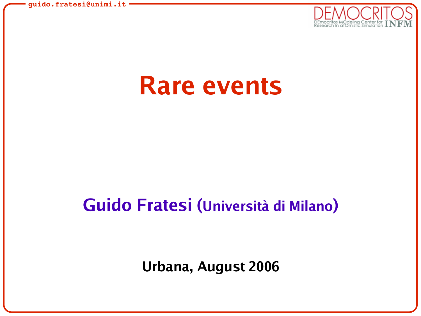

# **Rare events**

## **Guido Fratesi (Università di Milano)**

**Urbana, August 2006**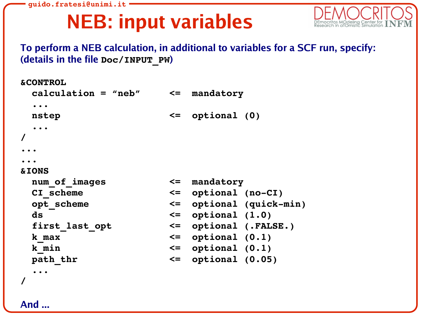# **NEB: input variables**



**To perform a NEB calculation, in additional to variables for a SCF run, specify: (details in the file Doc/INPUT\_PW)**

```
&CONTROL
 calculation = "neb" <= mandatory
 ...
 nstep <= optional (0)
 ...
/
...
...
&IONS
 num_of_images <= mandatory
 CI scheme \leq optional (no-CI)
 opt scheme \leq optional (quick-min)
 ds <= optional (1.0)
 first_last_opt <= optional (.FALSE.)
 k_max <= optional (0.1)
 k_min <= optional (0.1)
 path_thr <= optional (0.05)
 ...
/
```
**And ...**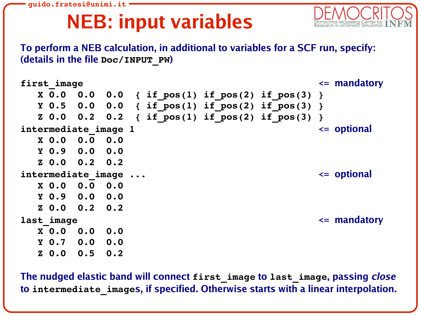# **NEB: input variables**



**To perform a NEB calculation, in additional to variables for a SCF run, specify: (details in the file Doc/INPUT\_PW)**

| first image |                  |                      |     |  |                                                                     | $\leq$ mandatory |
|-------------|------------------|----------------------|-----|--|---------------------------------------------------------------------|------------------|
|             | X <sub>0.0</sub> | 0.0                  |     |  | $0.0 \{ \text{if } pos(1) \text{ if } pos(2) \text{ if } pos(3) \}$ |                  |
|             |                  |                      |     |  | Y 0.5 0.0 0.0 { if pos(1) if pos(2) if pos(3) }                     |                  |
|             |                  | Z 0.0 0.2 0.2        |     |  | { if pos(1) if pos(2) if pos(3) }                                   |                  |
|             |                  | intermediate image 1 |     |  |                                                                     | $\leq$ optional  |
|             |                  | $X$ 0.0 0.0 0.0      |     |  |                                                                     |                  |
|             |                  | $Y$ 0.9 0.0 0.0      |     |  |                                                                     |                  |
|             |                  | Z 0.0 0.2 0.2        |     |  |                                                                     |                  |
|             |                  | intermediate image   |     |  |                                                                     | $\leq$ optional  |
|             | X <sub>0.0</sub> | 0.0                  | 0.0 |  |                                                                     |                  |
|             |                  | $Y$ 0.9 0.0 0.0      |     |  |                                                                     |                  |
|             |                  | Z 0.0 0.2 0.2        |     |  |                                                                     |                  |
| last image  |                  |                      |     |  |                                                                     | $\leq$ mandatory |
|             | X <sub>0.0</sub> | 0.0                  | 0.0 |  |                                                                     |                  |
|             | Y <sub>0.7</sub> | 0.0                  | 0.0 |  |                                                                     |                  |
|             | Z <sub>0.0</sub> | 0.5                  | 0.2 |  |                                                                     |                  |

**The nudged elastic band will connect first\_image to last\_image, passing close to intermediate\_images, if specified. Otherwise starts with a linear interpolation.**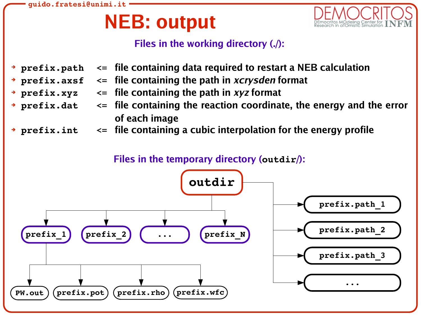# **NEB: output**



### **Files in the working directory (./):**

- ➔ **prefix.path <= file containing data required to restart a NEB calculation**
- ➔ **prefix.axsf <= file containing the path in xcrysden format**
- ➔ **prefix.xyz <= file containing the path in xyz format**
- ➔ **prefix.dat <= file containing the reaction coordinate, the energy and the error of each image**
- ➔ **prefix.int <= file containing a cubic interpolation for the energy profile**

### **Files in the temporary directory (outdir/):**

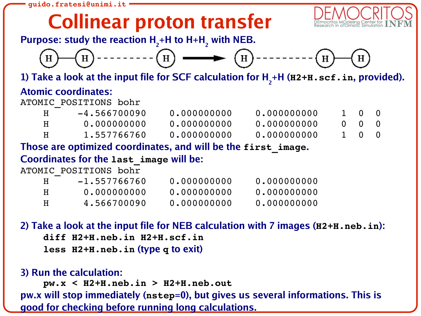## **Collinear proton transfer**



**Purpose: study the reaction H<sup>2</sup> +H to H+H<sup>2</sup> with NEB.**



**1) Take a look at the input file for SCF calculation for H<sup>2</sup> +H (H2+H.scf.in, provided).**

### **Atomic coordinates:**

ATOMIC\_POSITIONS bohr

|   | $-4.566700090$ | 0.000000000 | 0.000000000 | $1 \quad 0 \quad 0$ |  |
|---|----------------|-------------|-------------|---------------------|--|
|   | 0.000000000    | 0.000000000 | 0.000000000 | $0 \quad 0 \quad 0$ |  |
| H | 1.557766760    | 0.000000000 | 0.000000000 | 1 0 0               |  |

**Those are optimized coordinates, and will be the first\_image.**

**Coordinates for the last\_image will be:**

ATOMIC\_POSITIONS bohr

| H  | $-1.557766760$ | 0.000000000 | 0.000000000 |
|----|----------------|-------------|-------------|
| H  | 0.000000000    | 0.000000000 | 0.000000000 |
| H. | 4.566700090    | 0.000000000 | 0.000000000 |

**2) Take a look at the input file for NEB calculation with 7 images (H2+H.neb.in): diff H2+H.neb.in H2+H.scf.in less H2+H.neb.in (type q to exit)**

### **3) Run the calculation:**

**pw.x < H2+H.neb.in > H2+H.neb.out pw.x will stop immediately (nstep=0), but gives us several informations. This is good for checking before running long calculations.**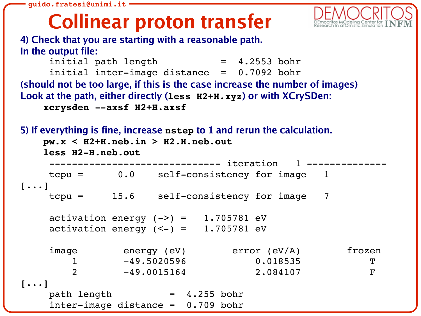# **Collinear proton transfer**



**4) Check that you are starting with a reasonable path. In the output file:**

```
initial path length = 4.2553 bohr
     initial inter-image distance = 0.7092 bohr
(should not be too large, if this is the case increase the number of images)
Look at the path, either directly (less H2+H.xyz) or with XCrySDen:
    xcrysden axsf H2+H.axsf
```

```
5) If everything is fine, increase nstep to 1 and rerun the calculation.
   pw.x < H2+H.neb.in > H2.H.neb.out
   less H2-H.neb.out
         ----------------------- iteration
   tcpu = 0.0 self-consistency for image 1[...]
    tcpu = 15.6 self-consistency for image 7
    activation energy (-) = 1.705781 eV
    activation energy (<-) = 1.705781 eV
    image energy (eV) error (eV/A) frozen
       1 -49.5020596 0.018535 T
       2 -49.0015164 2.084107 F
[...]
    path length = 4.255 bohr
    inter\text{-image distance} = 0.709 bohr
```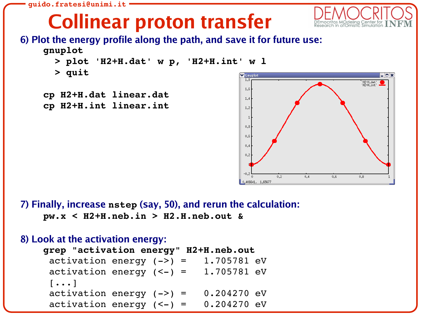# **Collinear proton transfer**



## **6) Plot the energy profile along the path, and save it for future use:**



- **> plot 'H2+H.dat' w p, 'H2+H.int' w l**
- **> quit**
- **cp H2+H.dat linear.dat cp H2+H.int linear.int**



**7) Finally, increase nstep (say, 50), and rerun the calculation: pw.x < H2+H.neb.in > H2.H.neb.out &**

```
8) Look at the activation energy:
   grep "activation energy" H2+H.neb.out
     activation energy (-) = 1.705781 eV
     activation energy (<-) = 1.705781 eV
     [...]
     activation energy (-) = 0.204270 eV
     activation energy (<-) = 0.204270 eV
```
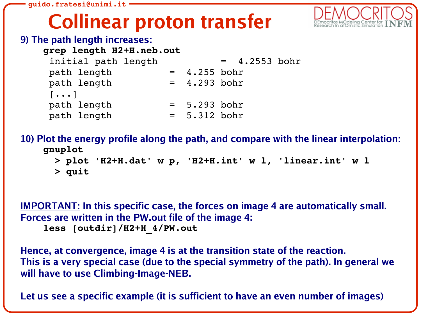## **Collinear proton transfer**



#### **9) The path length increases:**

**grep length H2+H.neb.out**

| initial path length               |                | $= 4.2553$ bohr |  |
|-----------------------------------|----------------|-----------------|--|
| path length                       | $= 4.255$ bohr |                 |  |
| path length                       | $= 4.293$ bohr |                 |  |
| $\lceil \cdot \cdot \cdot \rceil$ |                |                 |  |
| path length                       | $= 5.293$ bohr |                 |  |
| path length                       | $= 5.312$ bohr |                 |  |

**10) Plot the energy profile along the path, and compare with the linear interpolation: gnuplot**

**> plot 'H2+H.dat' w p, 'H2+H.int' w l, 'linear.int' w l**

```
> quit
```
**IMPORTANT: In this specific case, the forces on image 4 are automatically small. Forces are written in the PW.out file of the image 4: less [outdir]/H2+H\_4/PW.out**

**Hence, at convergence, image 4 is at the transition state of the reaction. This is a very special case (due to the special symmetry of the path). In general we will have to use Climbing-Image-NEB.**

**Let us see a specific example (it is sufficient to have an even number of images)**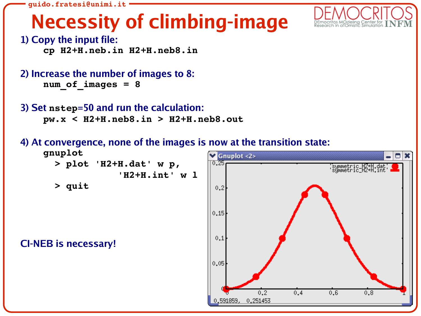# **Necessity of climbing-image**



symmetric\_HZ+H.dat' {<br>symmetric\_HZ+H.int' =

 $0.8$ 

 $0.6$ 

 $\times$ 

**1) Copy the input file:**

**cp H2+H.neb.in H2+H.neb8.in**

```
2) Increase the number of images to 8:
    num_of_images = 8
```
**3) Set nstep=50 and run the calculation: pw.x < H2+H.neb8.in > H2+H.neb8.out**

**4) At convergence, none of the images is now at the transition state:**

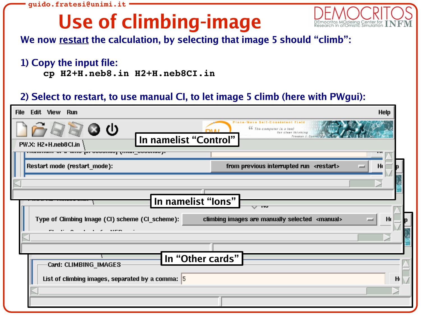# **Use of climbing-image**



**We now restart the calculation, by selecting that image 5 should "climb":**

#### **1) Copy the input file:**

**cp H2+H.neb8.in H2+H.neb8CI.in**

## **2) Select to restart, to use manual CI, to let image 5 climb (here with PWgui):**

| Edit View Run<br><b>Help</b><br><b>File</b>                                                                                                                       |                                                         |  |  |  |  |  |  |
|-------------------------------------------------------------------------------------------------------------------------------------------------------------------|---------------------------------------------------------|--|--|--|--|--|--|
| Plane-Wave Self-Constatent Field<br>◙ ౦ ⊍<br>66 The computer is a tool<br>for clear thinking<br>Freeman J. Dyson<br>In namelist "Control"<br>PW.X: H2+H.neb8Cl.in |                                                         |  |  |  |  |  |  |
| יושטווויואוור או או אויוט טער טווא א זע וואווווועטו                                                                                                               |                                                         |  |  |  |  |  |  |
| Restart mode (restart_mode):                                                                                                                                      | from previous interrupted run <restart><br/>H</restart> |  |  |  |  |  |  |
|                                                                                                                                                                   |                                                         |  |  |  |  |  |  |
|                                                                                                                                                                   |                                                         |  |  |  |  |  |  |
| In namelist "lons"                                                                                                                                                |                                                         |  |  |  |  |  |  |
|                                                                                                                                                                   | ⊽ਾ ਸਾ                                                   |  |  |  |  |  |  |
| Type of Climbing Image (CI) scheme (CI_scheme):<br>climbing images are manually selected <manual><br/>H</manual>                                                  |                                                         |  |  |  |  |  |  |
| - -<br>$ - -$                                                                                                                                                     |                                                         |  |  |  |  |  |  |
|                                                                                                                                                                   |                                                         |  |  |  |  |  |  |
|                                                                                                                                                                   |                                                         |  |  |  |  |  |  |
| In "Other cards"<br>Card: CLIMBING_IMAGES                                                                                                                         |                                                         |  |  |  |  |  |  |
|                                                                                                                                                                   |                                                         |  |  |  |  |  |  |
| List of climbing images, separated by a comma: $ 5 $<br>$H_1$                                                                                                     |                                                         |  |  |  |  |  |  |
|                                                                                                                                                                   |                                                         |  |  |  |  |  |  |
|                                                                                                                                                                   |                                                         |  |  |  |  |  |  |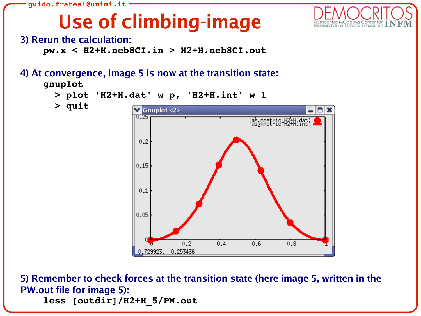

# **Use of climbing-image**



### **3) Rerun the calculation:**

**pw.x < H2+H.neb8CI.in > H2+H.neb8CI.out**

## **4) At convergence, image 5 is now at the transition state:**





**> plot 'H2+H.dat' w p, 'H2+H.int' w l**

**> quit**

**5) Remember to check forces at the transition state (here image 5, written in the PW.out file for image 5): less [outdir]/H2+H\_5/PW.out**